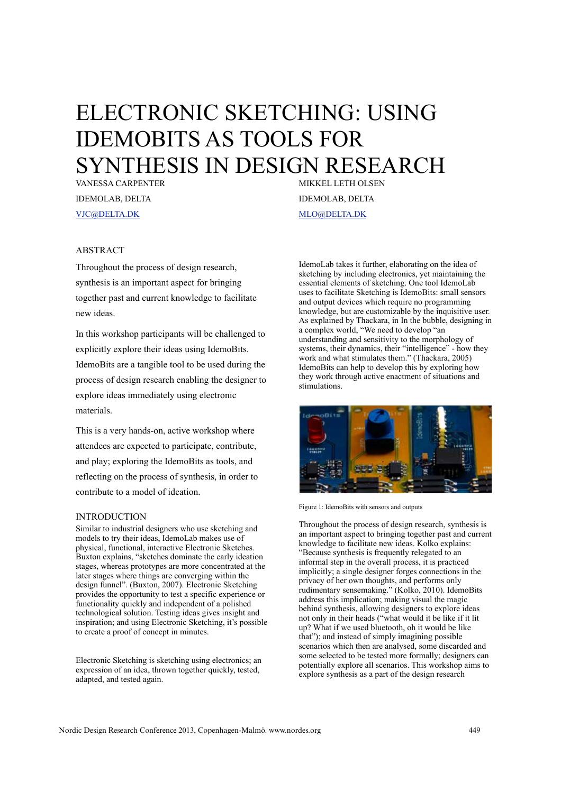# ELECTRONIC SKETCHING: USING IDEMOBITS AS TOOLS FOR SYNTHESIS IN DESIGN RESEARCH

VANESSA CARPENTER IDEMOLAB, DELTA VJC@DELTA.DK

MIKKEL LETH OLSEN IDEMOLAB, DELTA MLO@DELTA.DK

# ABSTRACT

Throughout the process of design research, synthesis is an important aspect for bringing together past and current knowledge to facilitate new ideas.

In this workshop participants will be challenged to explicitly explore their ideas using IdemoBits. IdemoBits are a tangible tool to be used during the process of design research enabling the designer to explore ideas immediately using electronic materials.

This is a very hands-on, active workshop where attendees are expected to participate, contribute, and play; exploring the IdemoBits as tools, and reflecting on the process of synthesis, in order to contribute to a model of ideation.

## INTRODUCTION

Similar to industrial designers who use sketching and models to try their ideas, IdemoLab makes use of physical, functional, interactive Electronic Sketches. Buxton explains, "sketches dominate the early ideation stages, whereas prototypes are more concentrated at the later stages where things are converging within the design funnel". (Buxton, 2007). Electronic Sketching provides the opportunity to test a specific experience or functionality quickly and independent of a polished technological solution. Testing ideas gives insight and inspiration; and using Electronic Sketching, it's possible to create a proof of concept in minutes.

Electronic Sketching is sketching using electronics; an expression of an idea, thrown together quickly, tested, adapted, and tested again.

IdemoLab takes it further, elaborating on the idea of sketching by including electronics, yet maintaining the essential elements of sketching. One tool IdemoLab uses to facilitate Sketching is IdemoBits: small sensors and output devices which require no programming knowledge, but are customizable by the inquisitive user. As explained by Thackara, in In the bubble, designing in a complex world, "We need to develop "an understanding and sensitivity to the morphology of systems, their dynamics, their "intelligence" - how they work and what stimulates them." (Thackara, 2005) IdemoBits can help to develop this by exploring how they work through active enactment of situations and stimulations.



Figure 1: IdemoBits with sensors and outputs

Throughout the process of design research, synthesis is an important aspect to bringing together past and current knowledge to facilitate new ideas. Kolko explains: "Because synthesis is frequently relegated to an informal step in the overall process, it is practiced implicitly; a single designer forges connections in the privacy of her own thoughts, and performs only rudimentary sensemaking." (Kolko, 2010). IdemoBits address this implication; making visual the magic behind synthesis, allowing designers to explore ideas not only in their heads ("what would it be like if it lit up? What if we used bluetooth, oh it would be like that"); and instead of simply imagining possible scenarios which then are analysed, some discarded and some selected to be tested more formally; designers can potentially explore all scenarios. This workshop aims to explore synthesis as a part of the design research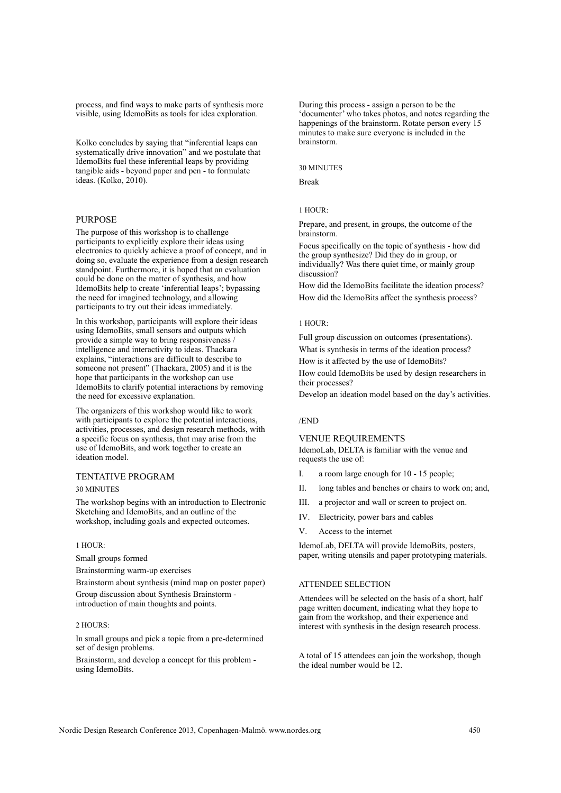process, and find ways to make parts of synthesis more visible, using IdemoBits as tools for idea exploration.

Kolko concludes by saying that "inferential leaps can systematically drive innovation" and we postulate that IdemoBits fuel these inferential leaps by providing tangible aids - beyond paper and pen - to formulate ideas. (Kolko, 2010).

#### PURPOSE

The purpose of this workshop is to challenge participants to explicitly explore their ideas using electronics to quickly achieve a proof of concept, and in doing so, evaluate the experience from a design research standpoint. Furthermore, it is hoped that an evaluation could be done on the matter of synthesis, and how IdemoBits help to create 'inferential leaps'; bypassing the need for imagined technology, and allowing participants to try out their ideas immediately.

In this workshop, participants will explore their ideas using IdemoBits, small sensors and outputs which provide a simple way to bring responsiveness / intelligence and interactivity to ideas. Thackara explains, "interactions are difficult to describe to someone not present" (Thackara, 2005) and it is the hope that participants in the workshop can use IdemoBits to clarify potential interactions by removing the need for excessive explanation.

The organizers of this workshop would like to work with participants to explore the potential interactions, activities, processes, and design research methods, with a specific focus on synthesis, that may arise from the use of IdemoBits, and work together to create an ideation model.

# TENTATIVE PROGRAM

30 MINUTES

The workshop begins with an introduction to Electronic Sketching and IdemoBits, and an outline of the workshop, including goals and expected outcomes.

### 1 HOUR:

Small groups formed

Brainstorming warm-up exercises

Brainstorm about synthesis (mind map on poster paper) Group discussion about Synthesis Brainstorm introduction of main thoughts and points.

#### 2 HOURS:

In small groups and pick a topic from a pre-determined set of design problems.

Brainstorm, and develop a concept for this problem using IdemoBits.

During this process - assign a person to be the 'documenter' who takes photos, and notes regarding the happenings of the brainstorm. Rotate person every 15 minutes to make sure everyone is included in the brainstorm.

#### 30 MINUTES

Break

## 1 HOUR:

Prepare, and present, in groups, the outcome of the brainstorm.

Focus specifically on the topic of synthesis - how did the group synthesize? Did they do in group, or individually? Was there quiet time, or mainly group discussion?

How did the IdemoBits facilitate the ideation process? How did the IdemoBits affect the synthesis process?

#### 1 HOUR:

Full group discussion on outcomes (presentations). What is synthesis in terms of the ideation process? How is it affected by the use of IdemoBits? How could IdemoBits be used by design researchers in their processes?

Develop an ideation model based on the day's activities.

#### /END

#### VENUE REQUIREMENTS

IdemoLab, DELTA is familiar with the venue and requests the use of:

- I. a room large enough for 10 15 people;
- II. long tables and benches or chairs to work on; and,
- III. a projector and wall or screen to project on.
- IV. Electricity, power bars and cables
- V. Access to the internet

IdemoLab, DELTA will provide IdemoBits, posters, paper, writing utensils and paper prototyping materials.

#### ATTENDEE SELECTION

Attendees will be selected on the basis of a short, half page written document, indicating what they hope to gain from the workshop, and their experience and interest with synthesis in the design research process.

A total of 15 attendees can join the workshop, though the ideal number would be 12.